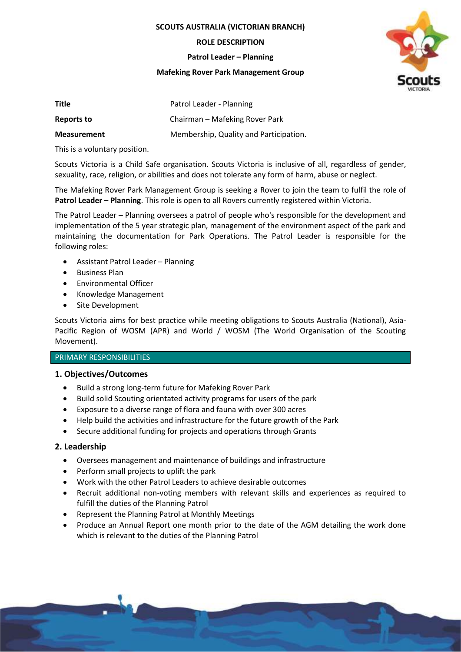**SCOUTS AUSTRALIA (VICTORIAN BRANCH)**

**ROLE DESCRIPTION**

**Patrol Leader – Planning**

### **Mafeking Rover Park Management Group**



| Title              | Patrol Leader - Planning               |
|--------------------|----------------------------------------|
| Reports to         | Chairman – Mafeking Rover Park         |
| <b>Measurement</b> | Membership, Quality and Participation. |

This is a voluntary position.

Scouts Victoria is a Child Safe organisation. Scouts Victoria is inclusive of all, regardless of gender, sexuality, race, religion, or abilities and does not tolerate any form of harm, abuse or neglect.

The Mafeking Rover Park Management Group is seeking a Rover to join the team to fulfil the role of **Patrol Leader – Planning**. This role is open to all Rovers currently registered within Victoria.

The Patrol Leader – Planning oversees a patrol of people who's responsible for the development and implementation of the 5 year strategic plan, management of the environment aspect of the park and maintaining the documentation for Park Operations. The Patrol Leader is responsible for the following roles:

- Assistant Patrol Leader Planning
- Business Plan
- Environmental Officer
- Knowledge Management
- Site Development

Scouts Victoria aims for best practice while meeting obligations to Scouts Australia (National), Asia-Pacific Region of WOSM (APR) and World / WOSM (The World Organisation of the Scouting Movement).

# PRIMARY RESPONSIBILITIES

### **1. Objectives/Outcomes**

- Build a strong long-term future for Mafeking Rover Park
- Build solid Scouting orientated activity programs for users of the park
- Exposure to a diverse range of flora and fauna with over 300 acres
- Help build the activities and infrastructure for the future growth of the Park
- Secure additional funding for projects and operations through Grants

### **2. Leadership**

- Oversees management and maintenance of buildings and infrastructure
- Perform small projects to uplift the park
- Work with the other Patrol Leaders to achieve desirable outcomes
- Recruit additional non-voting members with relevant skills and experiences as required to fulfill the duties of the Planning Patrol
- Represent the Planning Patrol at Monthly Meetings
- Produce an Annual Report one month prior to the date of the AGM detailing the work done which is relevant to the duties of the Planning Patrol